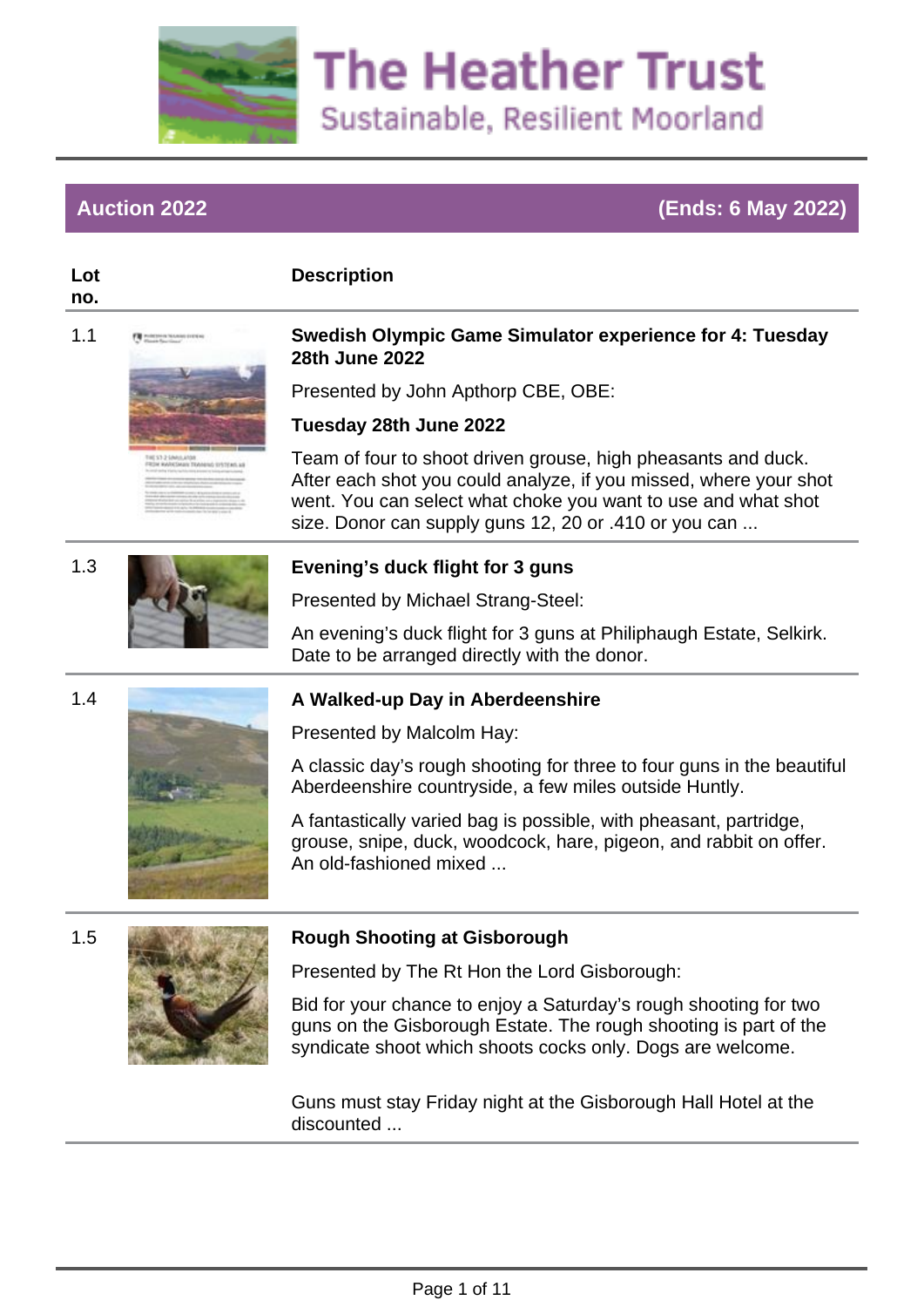

## **Auction 2022 (Ends: 6 May 2022)**

#### **Lot no.**

**Description**

#### 1.1 **Swedish Olympic Game Simulator experience for 4: Tuesday 28th June 2022**

Presented by John Apthorp CBE, OBE:

#### **Tuesday 28th June 2022**

Team of four to shoot driven grouse, high pheasants and duck. After each shot you could analyze, if you missed, where your shot went. You can select what choke you want to use and what shot size. Donor can supply guns 12, 20 or .410 or you can ...



## 1.3 **Evening's duck flight for 3 guns**

Presented by Michael Strang-Steel:

An evening's duck flight for 3 guns at Philiphaugh Estate, Selkirk. Date to be arranged directly with the donor.



## 1.4 **A Walked-up Day in Aberdeenshire**

Presented by Malcolm Hay:

A classic day's rough shooting for three to four guns in the beautiful Aberdeenshire countryside, a few miles outside Huntly.

A fantastically varied bag is possible, with pheasant, partridge, grouse, snipe, duck, woodcock, hare, pigeon, and rabbit on offer. An old-fashioned mixed ...



#### 1.5 **Rough Shooting at Gisborough**

Presented by The Rt Hon the Lord Gisborough:

Bid for your chance to enjoy a Saturday's rough shooting for two guns on the Gisborough Estate. The rough shooting is part of the syndicate shoot which shoots cocks only. Dogs are welcome.

Guns must stay Friday night at the Gisborough Hall Hotel at the discounted ...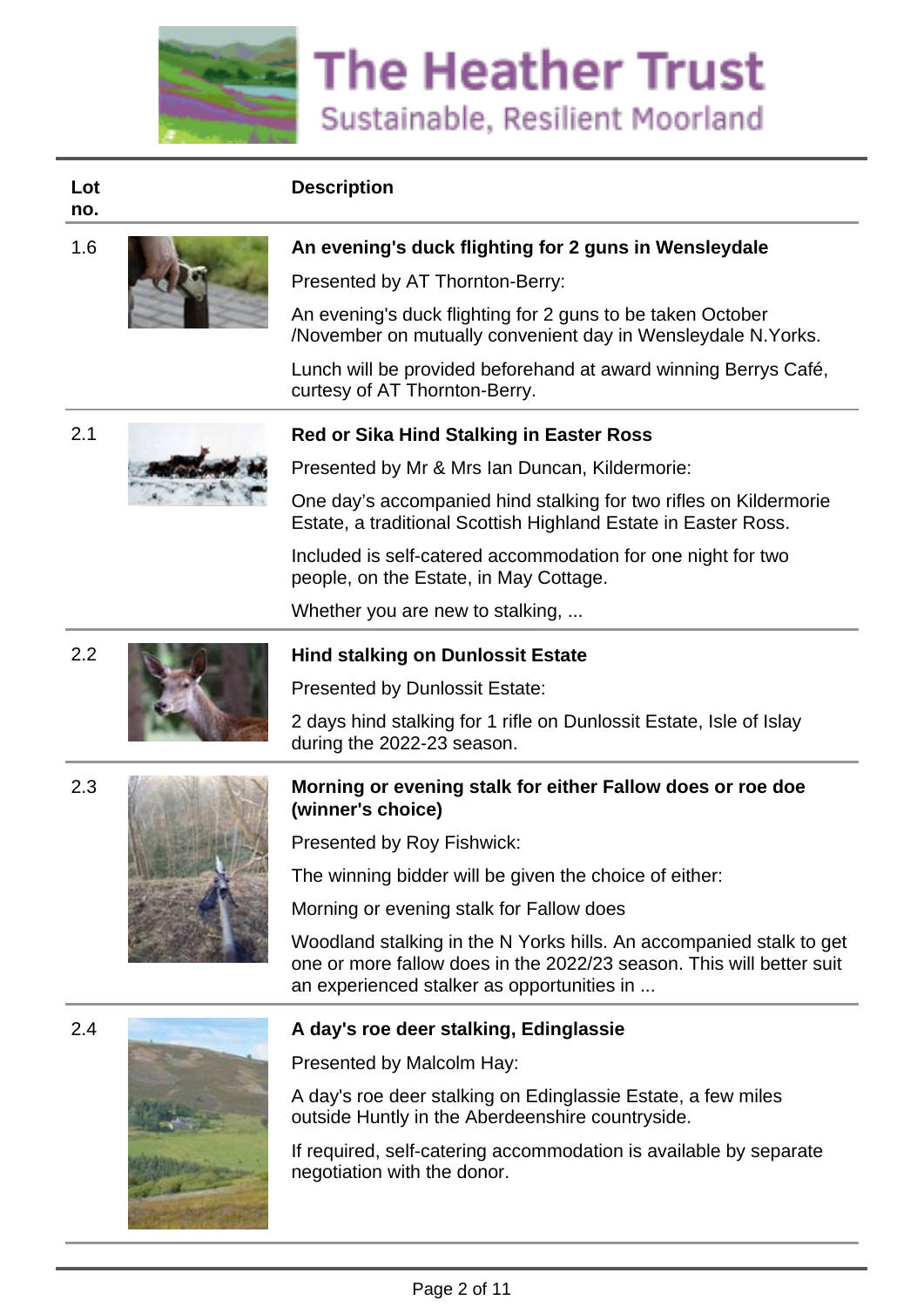

# **Lot**

**no.**



## 1.6 **An evening's duck flighting for 2 guns in Wensleydale**

Presented by AT Thornton-Berry:

An evening's duck flighting for 2 guns to be taken October /November on mutually convenient day in Wensleydale N.Yorks.

Lunch will be provided beforehand at award winning Berrys Café, curtesy of AT Thornton-Berry.



#### 2.1 **Red or Sika Hind Stalking in Easter Ross**

Presented by Mr & Mrs Ian Duncan, Kildermorie:

One day's accompanied hind stalking for two rifles on Kildermorie Estate, a traditional Scottish Highland Estate in Easter Ross.

Included is self-catered accommodation for one night for two people, on the Estate, in May Cottage.

Whether you are new to stalking, ...

#### 2.2 **Hind stalking on Dunlossit Estate**

Presented by Dunlossit Estate:

2 days hind stalking for 1 rifle on Dunlossit Estate, Isle of Islay during the 2022-23 season.



#### 2.3 **Morning or evening stalk for either Fallow does or roe doe (winner's choice)**

Presented by Roy Fishwick:

The winning bidder will be given the choice of either:

Morning or evening stalk for Fallow does

Woodland stalking in the N Yorks hills. An accompanied stalk to get one or more fallow does in the 2022/23 season. This will better suit an experienced stalker as opportunities in ...



#### 2.4 **A day's roe deer stalking, Edinglassie**

Presented by Malcolm Hay:

A day's roe deer stalking on Edinglassie Estate, a few miles outside Huntly in the Aberdeenshire countryside.

If required, self-catering accommodation is available by separate negotiation with the donor.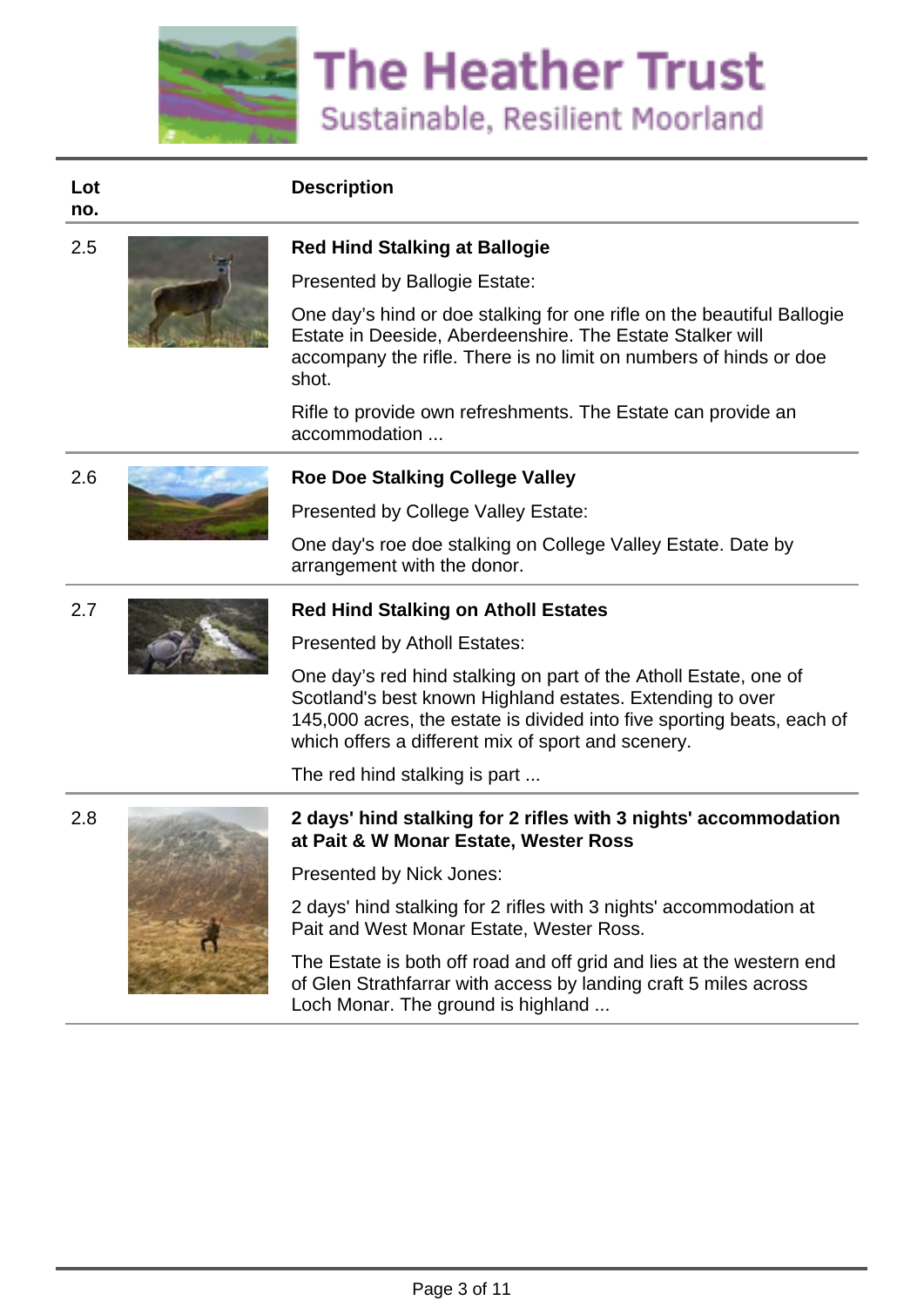

**Lot no.**



#### 2.5 **Red Hind Stalking at Ballogie**

Presented by Ballogie Estate:

One day's hind or doe stalking for one rifle on the beautiful Ballogie Estate in Deeside, Aberdeenshire. The Estate Stalker will accompany the rifle. There is no limit on numbers of hinds or doe shot.

Rifle to provide own refreshments. The Estate can provide an accommodation ...

## 2.6 **Roe Doe Stalking College Valley**

Presented by College Valley Estate:

One day's roe doe stalking on College Valley Estate. Date by arrangement with the donor.



Presented by Atholl Estates:

One day's red hind stalking on part of the Atholl Estate, one of Scotland's best known Highland estates. Extending to over 145,000 acres, the estate is divided into five sporting beats, each of which offers a different mix of sport and scenery.

The red hind stalking is part ...



#### 2.8 **2 days' hind stalking for 2 rifles with 3 nights' accommodation at Pait & W Monar Estate, Wester Ross**

Presented by Nick Jones:

2 days' hind stalking for 2 rifles with 3 nights' accommodation at Pait and West Monar Estate, Wester Ross.

The Estate is both off road and off grid and lies at the western end of Glen Strathfarrar with access by landing craft 5 miles across Loch Monar. The ground is highland ...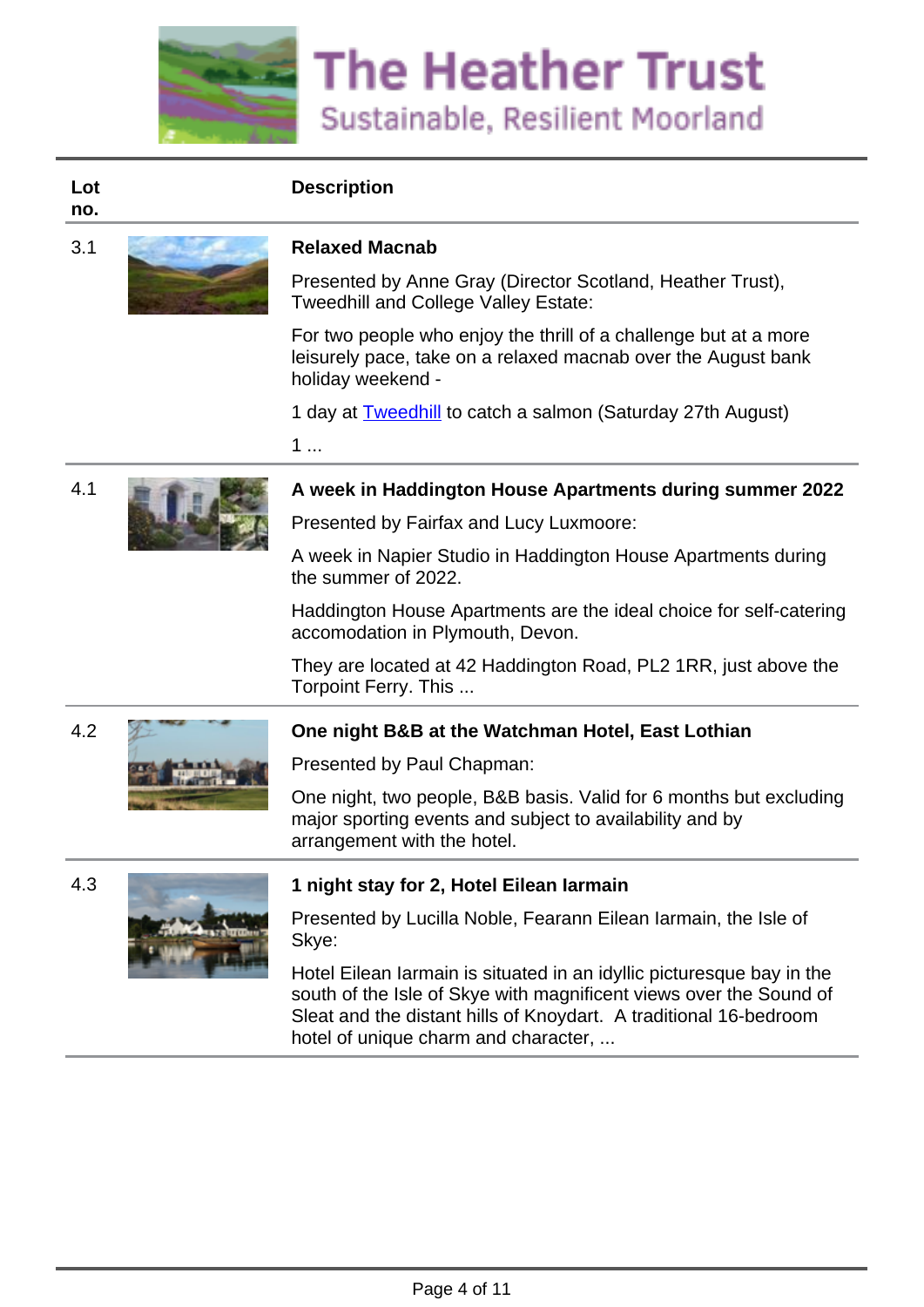

#### **Lot no.**



Presented by Anne Gray (Director Scotland, Heather Trust), Tweedhill and College Valley Estate:

For two people who enjoy the thrill of a challenge but at a more leisurely pace, take on a relaxed macnab over the August bank holiday weekend -

1 day at **Tweedhill** to catch a salmon (Saturday 27th August)

1 ...



#### 4.1 **A week in Haddington House Apartments during summer 2022**

Presented by Fairfax and Lucy Luxmoore:

A week in Napier Studio in Haddington House Apartments during the summer of 2022.

Haddington House Apartments are the ideal choice for self-catering accomodation in Plymouth, Devon.

They are located at 42 Haddington Road, PL2 1RR, just above the Torpoint Ferry. This ...



## 4.2 **One night B&B at the Watchman Hotel, East Lothian**

Presented by Paul Chapman:

One night, two people, B&B basis. Valid for 6 months but excluding major sporting events and subject to availability and by arrangement with the hotel.





#### 4.3 **1 night stay for 2, Hotel Eilean Iarmain**

Presented by Lucilla Noble, Fearann Eilean Iarmain, the Isle of Skye:

Hotel Eilean Iarmain is situated in an idyllic picturesque bay in the south of the Isle of Skye with magnificent views over the Sound of Sleat and the distant hills of Knoydart. A traditional 16-bedroom hotel of unique charm and character, ...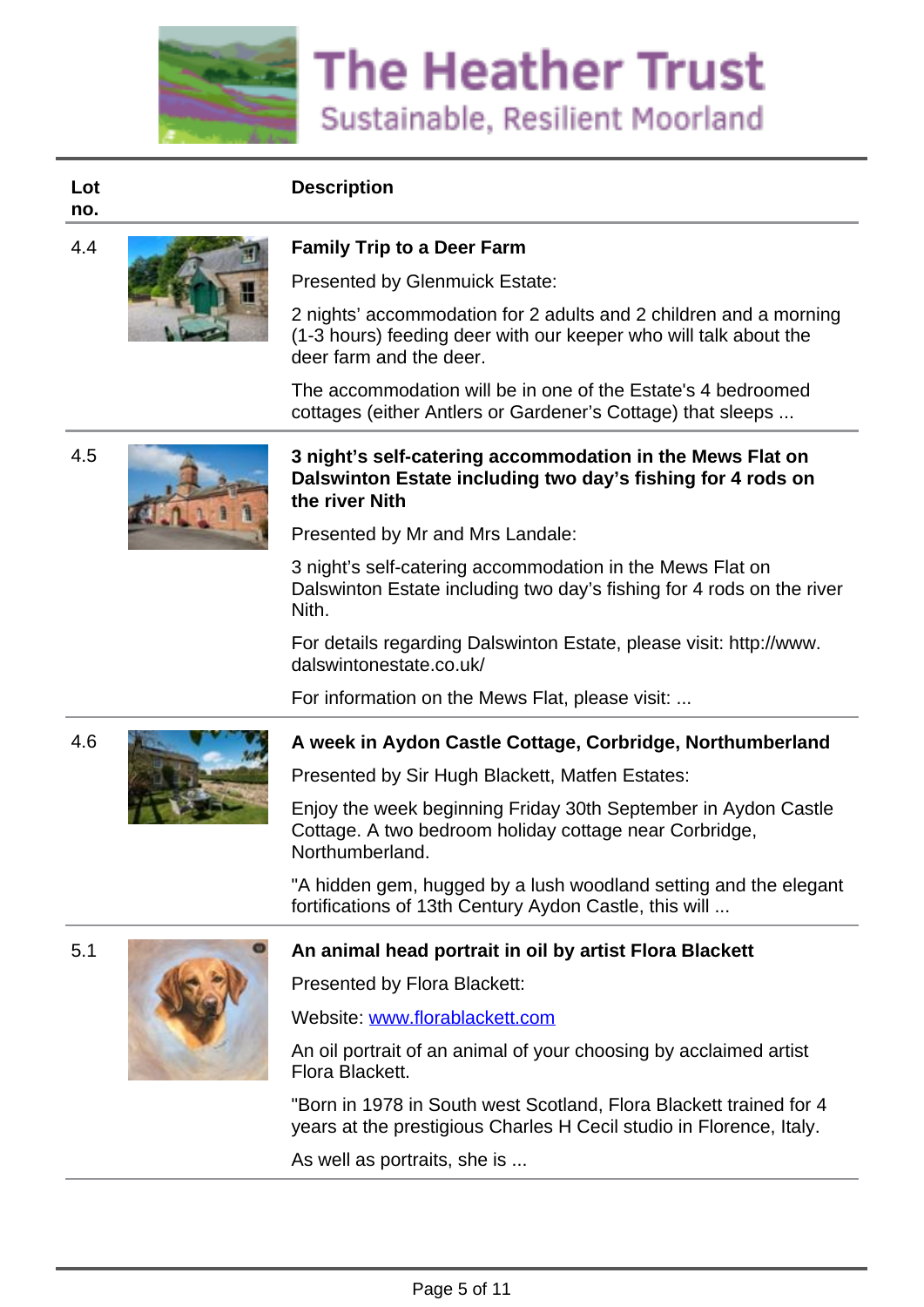

**Lot no.**



#### 4.4 **Family Trip to a Deer Farm**

Presented by Glenmuick Estate:

2 nights' accommodation for 2 adults and 2 children and a morning (1-3 hours) feeding deer with our keeper who will talk about the deer farm and the deer.

The accommodation will be in one of the Estate's 4 bedroomed cottages (either Antlers or Gardener's Cottage) that sleeps ...





#### 4.5 **3 night's self-catering accommodation in the Mews Flat on Dalswinton Estate including two day's fishing for 4 rods on the river Nith**

Presented by Mr and Mrs Landale:

3 night's self-catering accommodation in the Mews Flat on Dalswinton Estate including two day's fishing for 4 rods on the river Nith.

For details regarding Dalswinton Estate, please visit: http://www. dalswintonestate.co.uk/

For information on the Mews Flat, please visit: ...



## 4.6 **A week in Aydon Castle Cottage, Corbridge, Northumberland**

Presented by Sir Hugh Blackett, Matfen Estates:

Enjoy the week beginning Friday 30th September in Aydon Castle Cottage. A two bedroom holiday cottage near Corbridge, Northumberland.

"A hidden gem, hugged by a lush woodland setting and the elegant fortifications of 13th Century Aydon Castle, this will ...



#### 5.1 **An animal head portrait in oil by artist Flora Blackett**

Presented by Flora Blackett:

Website: [www.florablackett.com](http://www.florablackett.com)

An oil portrait of an animal of your choosing by acclaimed artist Flora Blackett.

"Born in 1978 in South west Scotland, Flora Blackett trained for 4 years at the prestigious Charles H Cecil studio in Florence, Italy.

As well as portraits, she is ...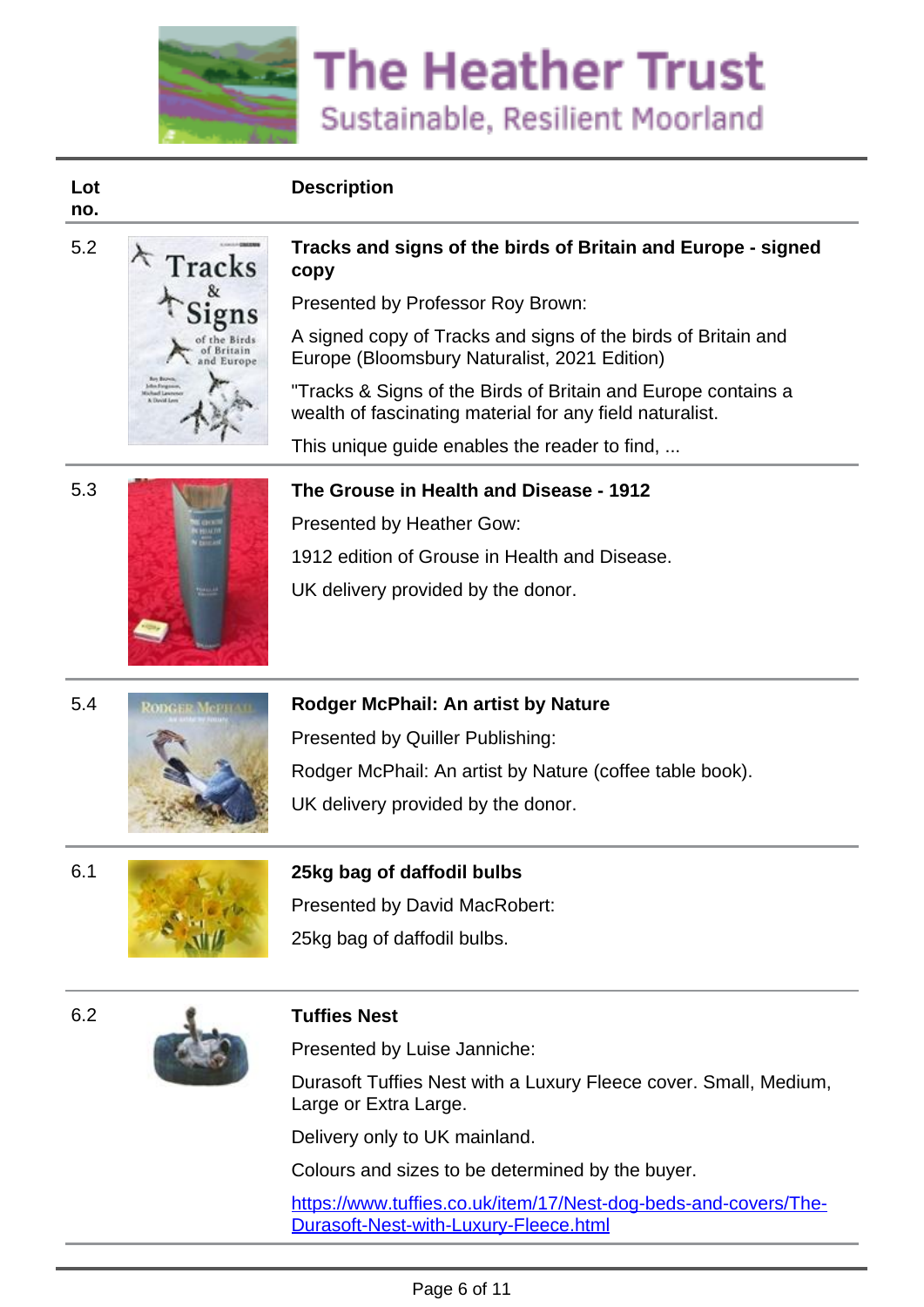

#### **Lot no.**



#### 5.2 **Tracks and signs of the birds of Britain and Europe - signed**  $\star$  Tracks copy **copy**

Presented by Professor Roy Brown:

A signed copy of Tracks and signs of the birds of Britain and Europe (Bloomsbury Naturalist, 2021 Edition)

"Tracks & Signs of the Birds of Britain and Europe contains a wealth of fascinating material for any field naturalist.

This unique guide enables the reader to find, ...

5.3 **The Grouse in Health and Disease - 1912**

Presented by Heather Gow:

1912 edition of Grouse in Health and Disease.

UK delivery provided by the donor.

## 5.4 **Rodger McPhail: An artist by Nature**

Presented by Quiller Publishing: Rodger McPhail: An artist by Nature (coffee table book). UK delivery provided by the donor.



# 6.1 **25kg bag of daffodil bulbs**

Presented by David MacRobert: 25kg bag of daffodil bulbs.



Presented by Luise Janniche:

Durasoft Tuffies Nest with a Luxury Fleece cover. Small, Medium, Large or Extra Large.

Delivery only to UK mainland.

Colours and sizes to be determined by the buyer.

[https://www.tuffies.co.uk/item/17/Nest-dog-beds-and-covers/The-](https://www.tuffies.co.uk/item/17/Nest-dog-beds-and-covers/The-Durasoft-Nest-with-Luxury-Fleece.html)[Durasoft-Nest-with-Luxury-Fleece.html](https://www.tuffies.co.uk/item/17/Nest-dog-beds-and-covers/The-Durasoft-Nest-with-Luxury-Fleece.html)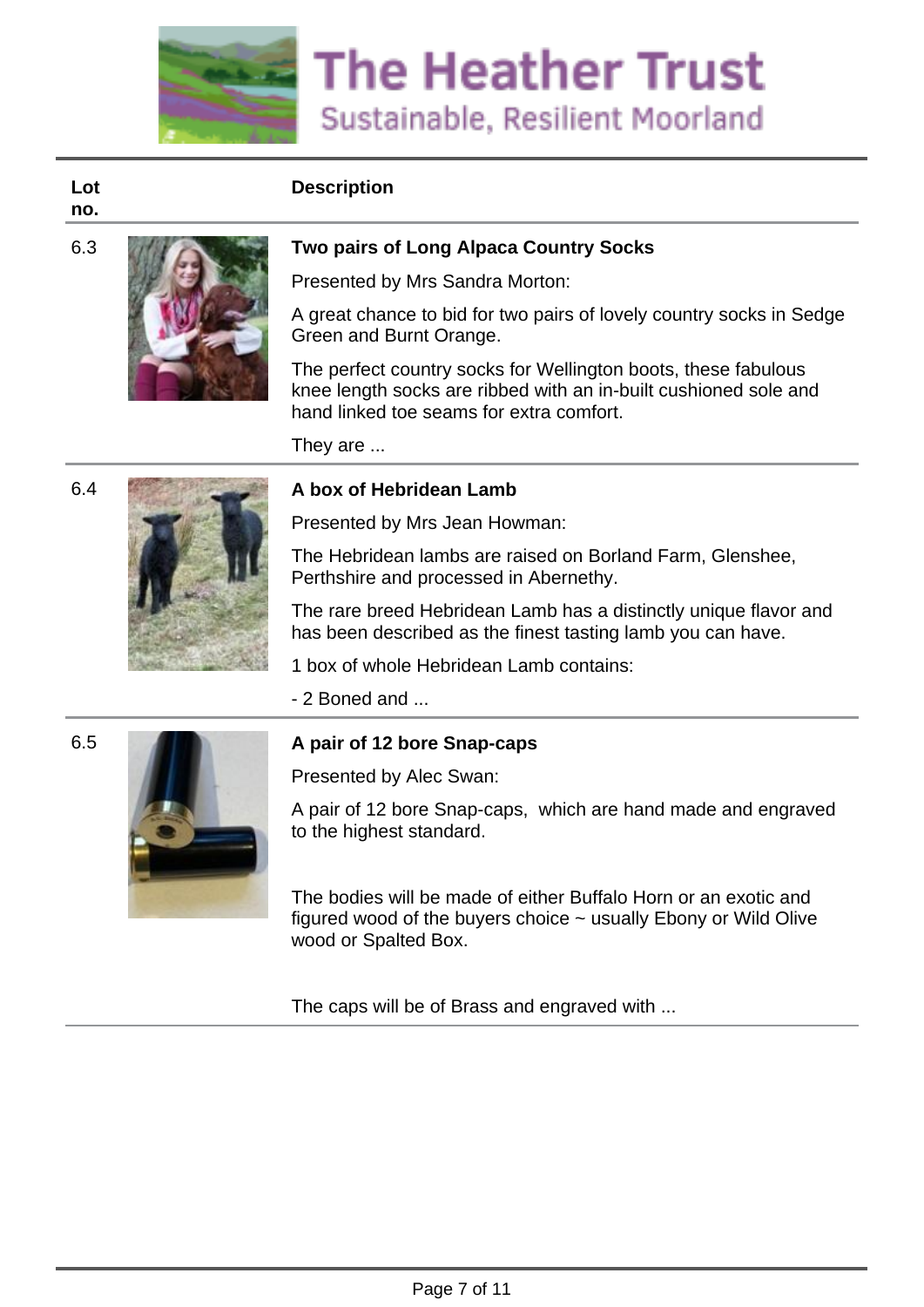

**Lot no.**



#### 6.3 **Two pairs of Long Alpaca Country Socks**

Presented by Mrs Sandra Morton:

A great chance to bid for two pairs of lovely country socks in Sedge Green and Burnt Orange.

The perfect country socks for Wellington boots, these fabulous knee length socks are ribbed with an in-built cushioned sole and hand linked toe seams for extra comfort.

They are ...



#### 6.4 **A box of Hebridean Lamb**

Presented by Mrs Jean Howman:

The Hebridean lambs are raised on Borland Farm, Glenshee, Perthshire and processed in Abernethy.

The rare breed Hebridean Lamb has a distinctly unique flavor and has been described as the finest tasting lamb you can have.

1 box of whole Hebridean Lamb contains:

- 2 Boned and ...



#### 6.5 **A pair of 12 bore Snap-caps**

Presented by Alec Swan:

A pair of 12 bore Snap-caps, which are hand made and engraved to the highest standard.

The bodies will be made of either Buffalo Horn or an exotic and figured wood of the buyers choice ~ usually Ebony or Wild Olive wood or Spalted Box.

The caps will be of Brass and engraved with ...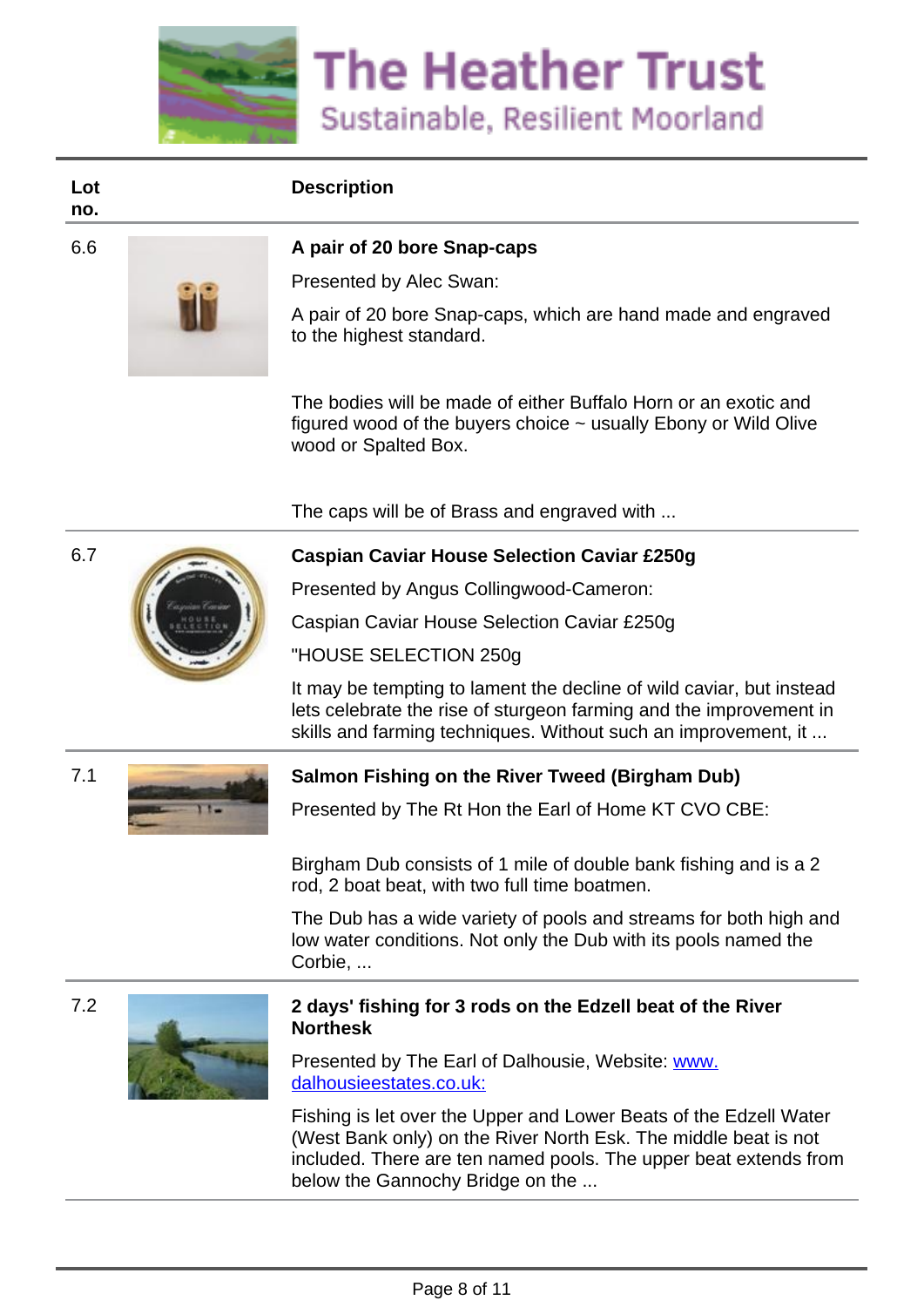

**Lot no.**



#### 6.6 **A pair of 20 bore Snap-caps**

Presented by Alec Swan:

A pair of 20 bore Snap-caps, which are hand made and engraved to the highest standard.

The bodies will be made of either Buffalo Horn or an exotic and figured wood of the buyers choice ~ usually Ebony or Wild Olive wood or Spalted Box.

The caps will be of Brass and engraved with ...



#### 6.7 **Caspian Caviar House Selection Caviar £250g**

Presented by Angus Collingwood-Cameron:

Caspian Caviar House Selection Caviar £250g

"HOUSE SELECTION 250g

It may be tempting to lament the decline of wild caviar, but instead lets celebrate the rise of sturgeon farming and the improvement in skills and farming techniques. Without such an improvement, it ...



#### 7.1 **Salmon Fishing on the River Tweed (Birgham Dub)**

Presented by The Rt Hon the Earl of Home KT CVO CBE:

Birgham Dub consists of 1 mile of double bank fishing and is a 2 rod, 2 boat beat, with two full time boatmen.

The Dub has a wide variety of pools and streams for both high and low water conditions. Not only the Dub with its pools named the Corbie, ...





#### 7.2 **2 days' fishing for 3 rods on the Edzell beat of the River Northesk**

Presented by The Earl of Dalhousie, Website: [www.](http://www.dalhousieestates.co.uk:) [dalhousieestates.co.uk:](http://www.dalhousieestates.co.uk:)

Fishing is let over the Upper and Lower Beats of the Edzell Water (West Bank only) on the River North Esk. The middle beat is not included. There are ten named pools. The upper beat extends from below the Gannochy Bridge on the ...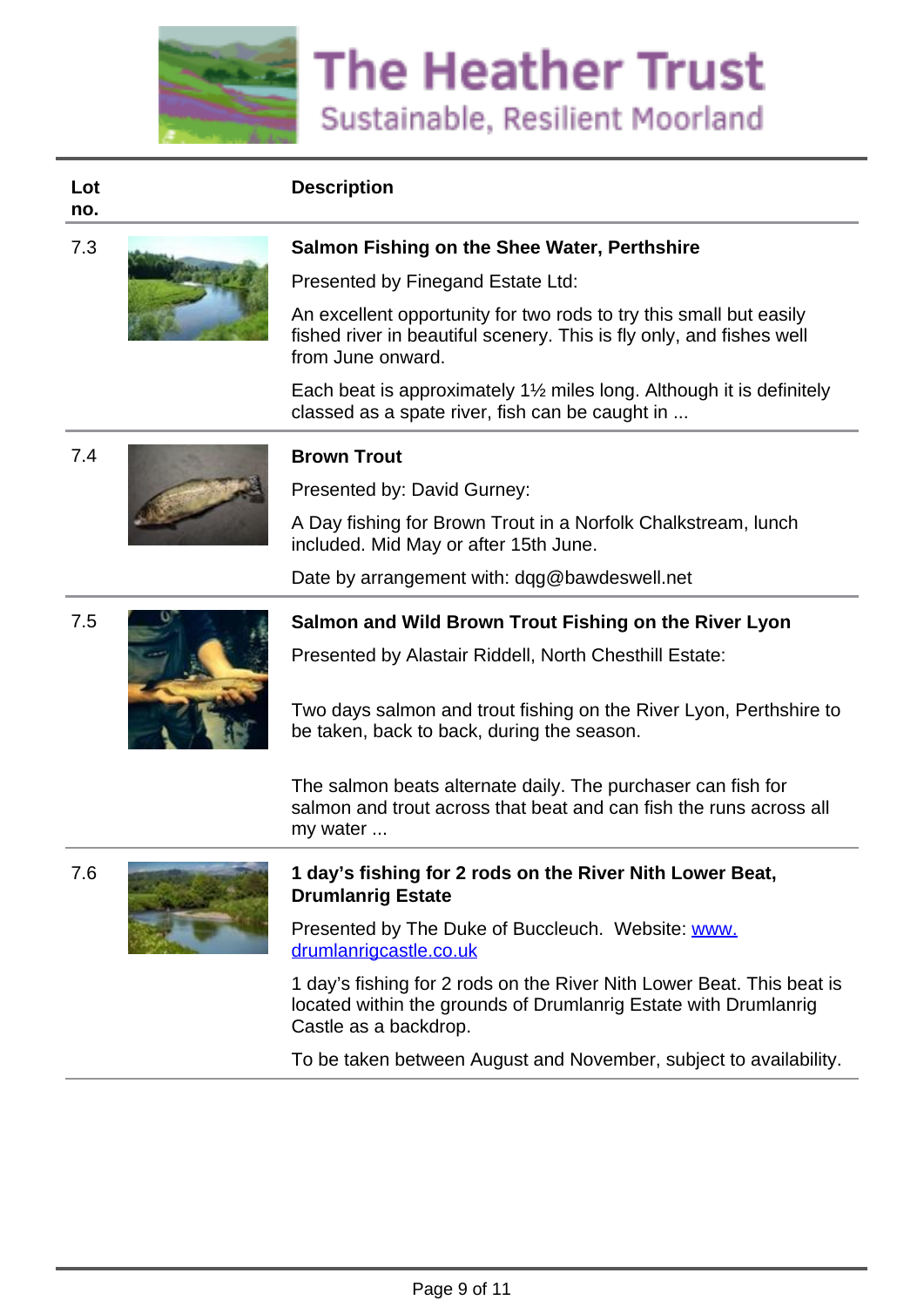

**Lot no.**



#### 7.3 **Salmon Fishing on the Shee Water, Perthshire**

Presented by Finegand Estate Ltd:

An excellent opportunity for two rods to try this small but easily fished river in beautiful scenery. This is fly only, and fishes well from June onward.

Each beat is approximately 1½ miles long. Although it is definitely classed as a spate river, fish can be caught in ...



Presented by: David Gurney:

A Day fishing for Brown Trout in a Norfolk Chalkstream, lunch included. Mid May or after 15th June.

Date by arrangement with: dqg@bawdeswell.net



#### 7.5 **Salmon and Wild Brown Trout Fishing on the River Lyon**

Presented by Alastair Riddell, North Chesthill Estate:

Two days salmon and trout fishing on the River Lyon, Perthshire to be taken, back to back, during the season.

The salmon beats alternate daily. The purchaser can fish for salmon and trout across that beat and can fish the runs across all my water ...



#### 7.6 **1 day's fishing for 2 rods on the River Nith Lower Beat, Drumlanrig Estate**

Presented by The Duke of Buccleuch. Website: [www.](http://www.drumlanrigcastle.co.uk) [drumlanrigcastle.co.uk](http://www.drumlanrigcastle.co.uk)

1 day's fishing for 2 rods on the River Nith Lower Beat. This beat is located within the grounds of Drumlanrig Estate with Drumlanrig Castle as a backdrop.

To be taken between August and November, subject to availability.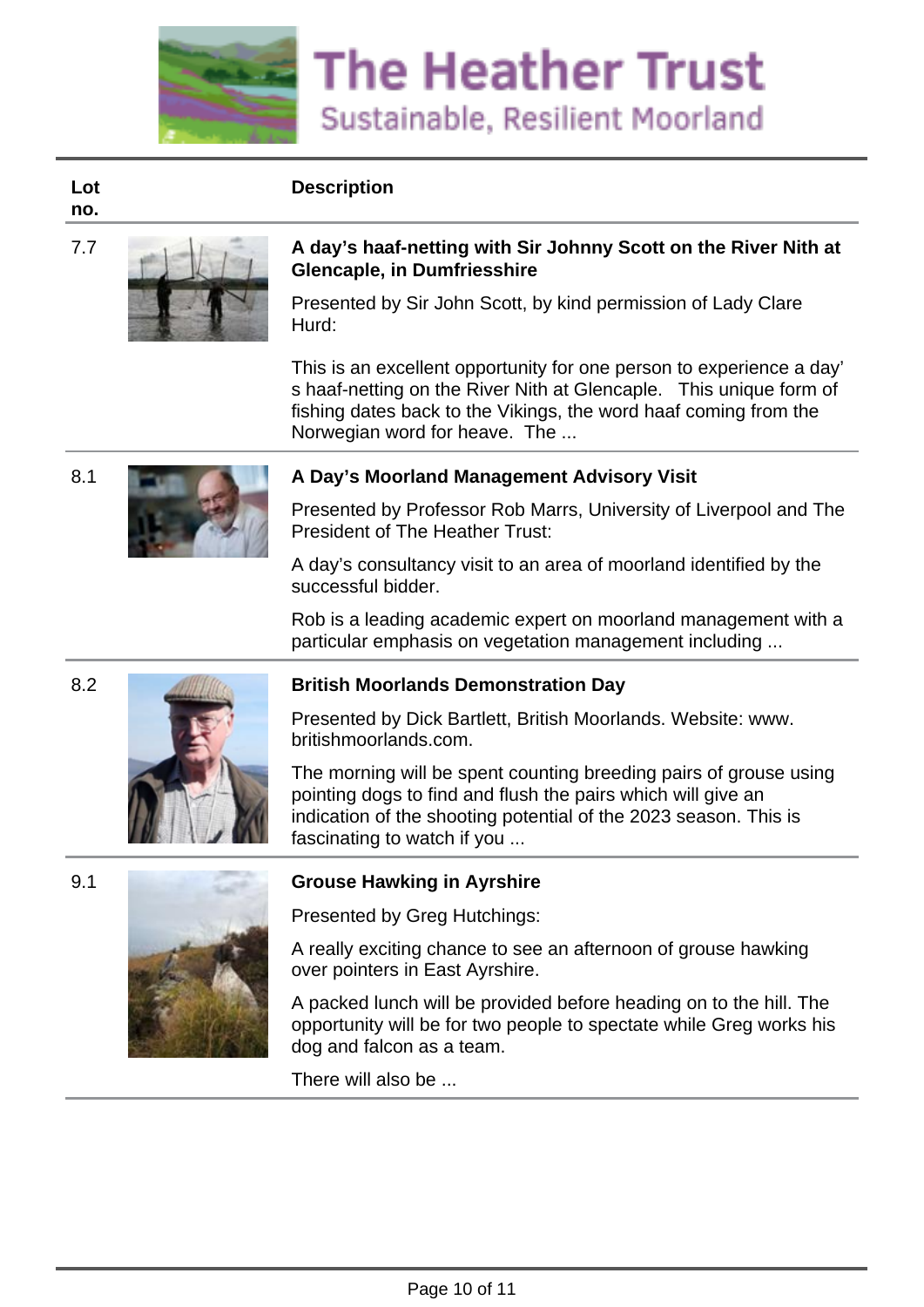

**Lot no.**



#### 7.7 **A day's haaf-netting with Sir Johnny Scott on the River Nith at Glencaple, in Dumfriesshire**

Presented by Sir John Scott, by kind permission of Lady Clare Hurd:

This is an excellent opportunity for one person to experience a day' s haaf-netting on the River Nith at Glencaple. This unique form of fishing dates back to the Vikings, the word haaf coming from the Norwegian word for heave. The ...



## 8.1 **A Day's Moorland Management Advisory Visit** A Day's Moorland Management Advisory Visit

Presented by Professor Rob Marrs, University of Liverpool and The President of The Heather Trust:

A day's consultancy visit to an area of moorland identified by the successful bidder.

Rob is a leading academic expert on moorland management with a particular emphasis on vegetation management including ...





#### 8.2 **British Moorlands Demonstration Day**

Presented by Dick Bartlett, British Moorlands. Website: www. britishmoorlands.com.

The morning will be spent counting breeding pairs of grouse using pointing dogs to find and flush the pairs which will give an indication of the shooting potential of the 2023 season. This is fascinating to watch if you ...



# 9.1 **Grouse Hawking in Ayrshire**

Presented by Greg Hutchings:

A really exciting chance to see an afternoon of grouse hawking over pointers in East Ayrshire.

A packed lunch will be provided before heading on to the hill. The opportunity will be for two people to spectate while Greg works his dog and falcon as a team.

There will also be ...